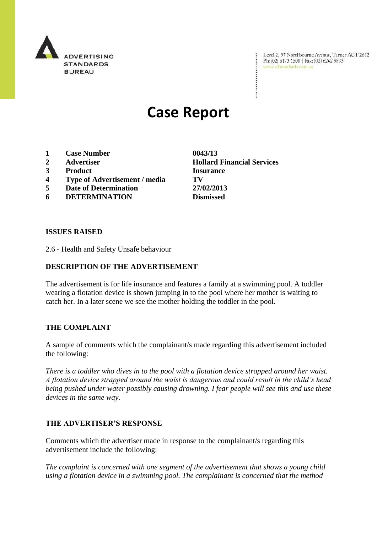

Level 2, 97 Northbourne Avenue, Turner ACT 2612 Ph: (02) 6173 1500 | Fax: (02) 6262 9833 www.adstandards.com.au

# **Case Report**

- **1 Case Number 0043/13**
- 
- **3 Product Insurance**
- **4 Type of Advertisement / media TV**
- **5 Date of Determination 27/02/2013**
- **6 DETERMINATION Dismissed**

**ISSUES RAISED**

2.6 - Health and Safety Unsafe behaviour

## **DESCRIPTION OF THE ADVERTISEMENT**

The advertisement is for life insurance and features a family at a swimming pool. A toddler wearing a flotation device is shown jumping in to the pool where her mother is waiting to catch her. In a later scene we see the mother holding the toddler in the pool.

### **THE COMPLAINT**

A sample of comments which the complainant/s made regarding this advertisement included the following:

*There is a toddler who dives in to the pool with a flotation device strapped around her waist. A flotation device strapped around the waist is dangerous and could result in the child's head being pushed under water possibly causing drowning. I fear people will see this and use these devices in the same way.*

### **THE ADVERTISER'S RESPONSE**

Comments which the advertiser made in response to the complainant/s regarding this advertisement include the following:

*The complaint is concerned with one segment of the advertisement that shows a young child using a flotation device in a swimming pool. The complainant is concerned that the method* 

**2 Advertiser Hollard Financial Services**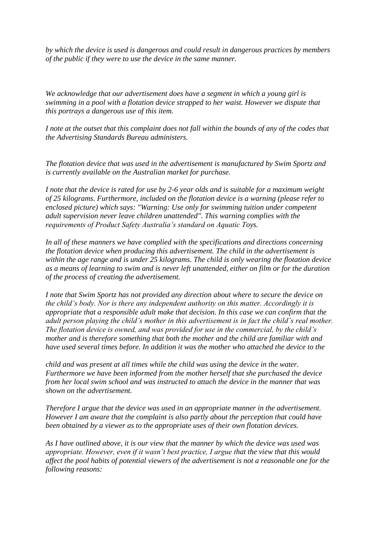*by which the device is used is dangerous and could result in dangerous practices by members of the public if they were to use the device in the same manner.*

*We acknowledge that our advertisement does have a segment in which a young girl is swimming in a pool with a flotation device strapped to her waist. However we dispute that this portrays a dangerous use of this item.* 

*I note at the outset that this complaint does not fall within the bounds of any of the codes that the Advertising Standards Bureau administers.*

*The flotation device that was used in the advertisement is manufactured by Swim Sportz and is currently available on the Australian market for purchase.* 

*I note that the device is rated for use by 2-6 year olds and is suitable for a maximum weight of 25 kilograms. Furthermore, included on the flotation device is a warning (please refer to enclosed picture) which says: "Warning: Use only for swimming tuition under competent adult supervision never leave children unattended". This warning complies with the requirements of Product Safety Australia's standard on Aquatic Toys.* 

*In all of these manners we have complied with the specifications and directions concerning the flotation device when producing this advertisement. The child in the advertisement is within the age range and is under 25 kilograms. The child is only wearing the flotation device as a means of learning to swim and is never left unattended, either on film or for the duration of the process of creating the advertisement.* 

*I note that Swim Sportz has not provided any direction about where to secure the device on the child's body. Nor is there any independent authority on this matter. Accordingly it is appropriate that a responsible adult make that decision. In this case we can confirm that the adult person playing the child's mother in this advertisement is in fact the child's real mother. The flotation device is owned, and was provided for use in the commercial, by the child's mother and is therefore something that both the mother and the child are familiar with and have used several times before. In addition it was the mother who attached the device to the* 

*child and was present at all times while the child was using the device in the water. Furthermore we have been informed from the mother herself that she purchased the device from her local swim school and was instructed to attach the device in the manner that was shown on the advertisement.* 

*Therefore I argue that the device was used in an appropriate manner in the advertisement. However I am aware that the complaint is also partly about the perception that could have been obtained by a viewer as to the appropriate uses of their own flotation devices.* 

*As I have outlined above, it is our view that the manner by which the device was used was appropriate. However, even if it wasn't best practice, I argue that the view that this would affect the pool habits of potential viewers of the advertisement is not a reasonable one for the following reasons:*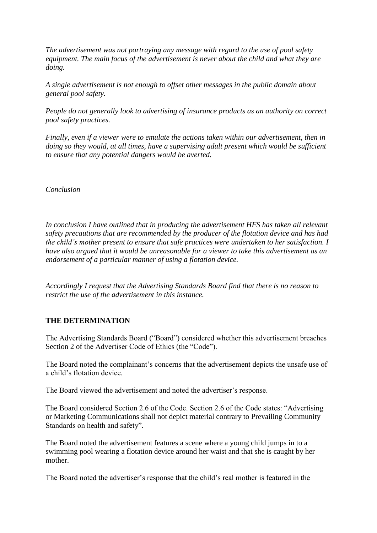*The advertisement was not portraying any message with regard to the use of pool safety equipment. The main focus of the advertisement is never about the child and what they are doing.* 

*A single advertisement is not enough to offset other messages in the public domain about general pool safety.* 

*People do not generally look to advertising of insurance products as an authority on correct pool safety practices.* 

*Finally, even if a viewer were to emulate the actions taken within our advertisement, then in doing so they would, at all times, have a supervising adult present which would be sufficient to ensure that any potential dangers would be averted.* 

*Conclusion* 

*In conclusion I have outlined that in producing the advertisement HFS has taken all relevant safety precautions that are recommended by the producer of the flotation device and has had the child's mother present to ensure that safe practices were undertaken to her satisfaction. I have also argued that it would be unreasonable for a viewer to take this advertisement as an endorsement of a particular manner of using a flotation device.* 

*Accordingly I request that the Advertising Standards Board find that there is no reason to restrict the use of the advertisement in this instance.*

### **THE DETERMINATION**

The Advertising Standards Board ("Board") considered whether this advertisement breaches Section 2 of the Advertiser Code of Ethics (the "Code").

The Board noted the complainant's concerns that the advertisement depicts the unsafe use of a child's flotation device.

The Board viewed the advertisement and noted the advertiser's response.

The Board considered Section 2.6 of the Code. Section 2.6 of the Code states: "Advertising or Marketing Communications shall not depict material contrary to Prevailing Community Standards on health and safety".

The Board noted the advertisement features a scene where a young child jumps in to a swimming pool wearing a flotation device around her waist and that she is caught by her mother.

The Board noted the advertiser's response that the child's real mother is featured in the